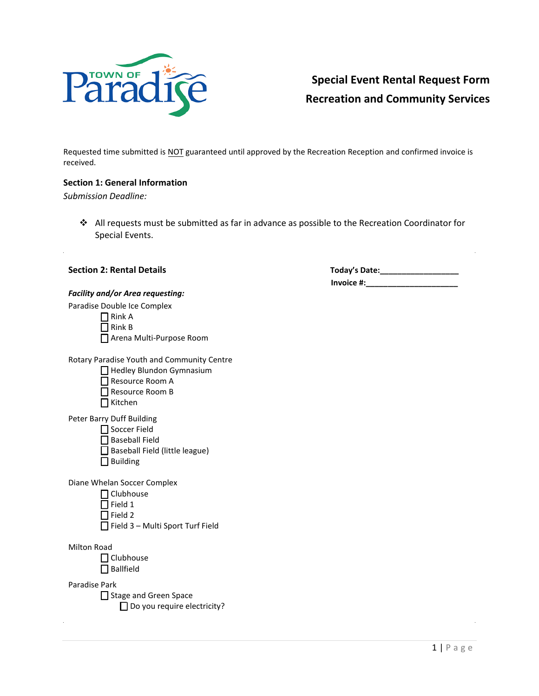

## **Special Event Rental Request Form Recreation and Community Services**

Requested time submitted is NOT guaranteed until approved by the Recreation Reception and confirmed invoice is received.

## **Section 1: General Information**

*Submission Deadline:* 

❖ All requests must be submitted as far in advance as possible to the Recreation Coordinator for Special Events.

| .                                                                                                                                    |                               |
|--------------------------------------------------------------------------------------------------------------------------------------|-------------------------------|
| <b>Section 2: Rental Details</b>                                                                                                     | Today's D<br><b>Invoice #</b> |
| <b>Facility and/or Area requesting:</b><br>Paradise Double Ice Complex<br>Rink A<br>Rink B<br>Arena Multi-Purpose Room               |                               |
| Rotary Paradise Youth and Community Centre<br>Hedley Blundon Gymnasium<br>Resource Room A<br>Resource Room B<br>Kitchen              |                               |
| Peter Barry Duff Building<br>Soccer Field<br><b>Baseball Field</b><br>Baseball Field (little league)<br><b>Building</b>              |                               |
| Diane Whelan Soccer Complex<br>$\sqcap$ Clubhouse<br>Field 1<br>$\overline{\phantom{a}}$ Field 2<br>Field 3 - Multi Sport Turf Field |                               |
| <b>Milton Road</b><br>Clubhouse<br><b>Ballfield</b>                                                                                  |                               |
| Paradise Park<br>Stage and Green Space<br>$\Box$ Do you require electricity?                                                         |                               |

 **Today's Date:\_\_\_\_\_\_\_\_\_\_\_\_\_\_\_\_\_\_ Invoice #:\_\_\_\_\_\_\_\_\_\_\_\_\_\_\_\_\_\_\_\_\_**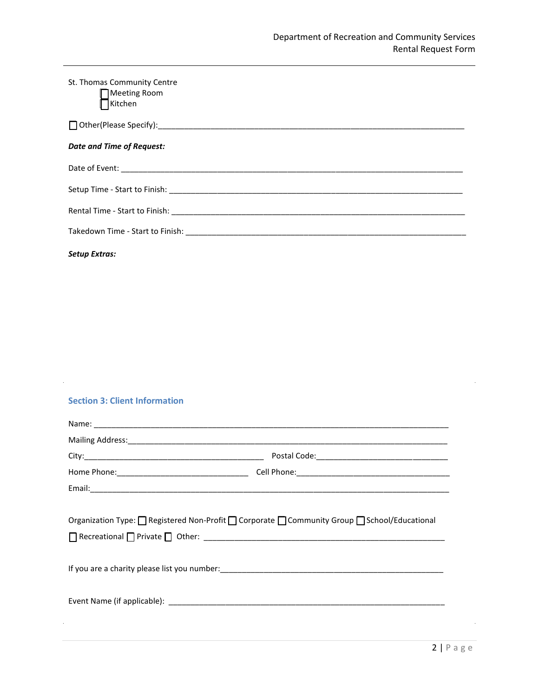| St. Thomas Community Centre<br>Meeting Room<br>Kitchen |
|--------------------------------------------------------|
|                                                        |
| Date and Time of Request:                              |
|                                                        |
|                                                        |
|                                                        |
|                                                        |
| <b>Setup Extras:</b>                                   |

## **Section 3: Client Information**

 $\mathcal{L}^{\pm}$ 

| Organization Type: □ Registered Non-Profit □ Corporate □ Community Group □ School/Educational |
|-----------------------------------------------------------------------------------------------|

 $\sim$ 

 $\hat{\boldsymbol{\beta}}$